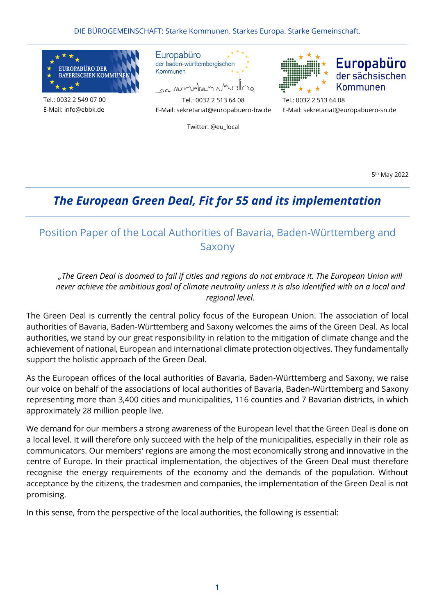DIE BÜROGEMEINSCHAFT: Starke Kommunen. Starkes Europa. Starke Gemeinschaft.



Tel.: 0032 2 549 07 00 E-Mail: [info@ebbk.de](mailto:info@ebbk.de)



montum



Tel.: 0032 2 513 64 08 E-Mail: [sekretariat@europabuero-bw.de](mailto:sekretariat@europabuero-bw.de)

Twitter: @eu\_local

E-Mail[: sekretariat@europabuero-sn.de](mailto:sekretariat@europabuero-sn.de)

5<sup>th</sup> May 2022

# *The European Green Deal, Fit for 55 and its implementation*

## Position Paper of the Local Authorities of Bavaria, Baden-Württemberg and Saxony

### *"The Green Deal is doomed to fail if cities and regions do not embrace it. The European Union will never achieve the ambitious goal of climate neutrality unless it is also identified with on a local and regional level.*

The Green Deal is currently the central policy focus of the European Union. The association of local authorities of Bavaria, Baden-Württemberg and Saxony welcomes the aims of the Green Deal. As local authorities, we stand by our great responsibility in relation to the mitigation of climate change and the achievement of national, European and international climate protection objectives. They fundamentally support the holistic approach of the Green Deal.

As the European offices of the local authorities of Bavaria, Baden-Württemberg and Saxony, we raise our voice on behalf of the associations of local authorities of Bavaria, Baden-Württemberg and Saxony representing more than 3,400 cities and municipalities, 116 counties and 7 Bavarian districts, in which approximately 28 million people live.

We demand for our members a strong awareness of the European level that the Green Deal is done on a local level. It will therefore only succeed with the help of the municipalities, especially in their role as communicators. Our members' regions are among the most economically strong and innovative in the centre of Europe. In their practical implementation, the objectives of the Green Deal must therefore recognise the energy requirements of the economy and the demands of the population. Without acceptance by the citizens, the tradesmen and companies, the implementation of the Green Deal is not promising.

In this sense, from the perspective of the local authorities, the following is essential: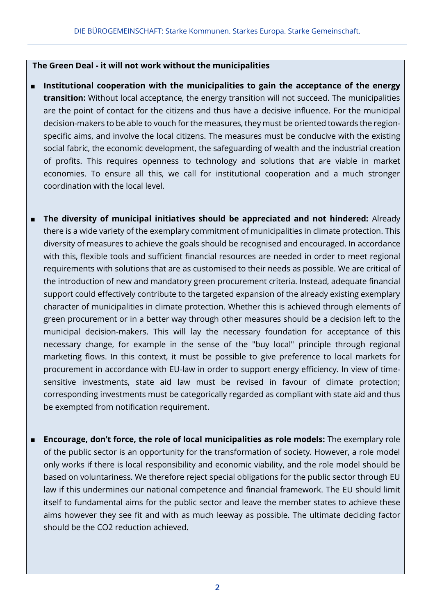#### **The Green Deal - it will not work without the municipalities**

- Institutional cooperation with the municipalities to gain the acceptance of the energy **transition:** Without local acceptance, the energy transition will not succeed. The municipalities are the point of contact for the citizens and thus have a decisive influence. For the municipal decision-makers to be able to vouch for the measures, they must be oriented towards the regionspecific aims, and involve the local citizens. The measures must be conducive with the existing social fabric, the economic development, the safeguarding of wealth and the industrial creation of profits. This requires openness to technology and solutions that are viable in market economies. To ensure all this, we call for institutional cooperation and a much stronger coordination with the local level.
- **The diversity of municipal initiatives should be appreciated and not hindered:** Already there is a wide variety of the exemplary commitment of municipalities in climate protection. This diversity of measures to achieve the goals should be recognised and encouraged. In accordance with this, flexible tools and sufficient financial resources are needed in order to meet regional requirements with solutions that are as customised to their needs as possible. We are critical of the introduction of new and mandatory green procurement criteria. Instead, adequate financial support could effectively contribute to the targeted expansion of the already existing exemplary character of municipalities in climate protection. Whether this is achieved through elements of green procurement or in a better way through other measures should be a decision left to the municipal decision-makers. This will lay the necessary foundation for acceptance of this necessary change, for example in the sense of the "buy local" principle through regional marketing flows. In this context, it must be possible to give preference to local markets for procurement in accordance with EU-law in order to support energy efficiency. In view of timesensitive investments, state aid law must be revised in favour of climate protection; corresponding investments must be categorically regarded as compliant with state aid and thus be exempted from notification requirement.
- **Encourage, don't force, the role of local municipalities as role models:** The exemplary role of the public sector is an opportunity for the transformation of society. However, a role model only works if there is local responsibility and economic viability, and the role model should be based on voluntariness. We therefore reject special obligations for the public sector through EU law if this undermines our national competence and financial framework. The EU should limit itself to fundamental aims for the public sector and leave the member states to achieve these aims however they see fit and with as much leeway as possible. The ultimate deciding factor should be the CO2 reduction achieved.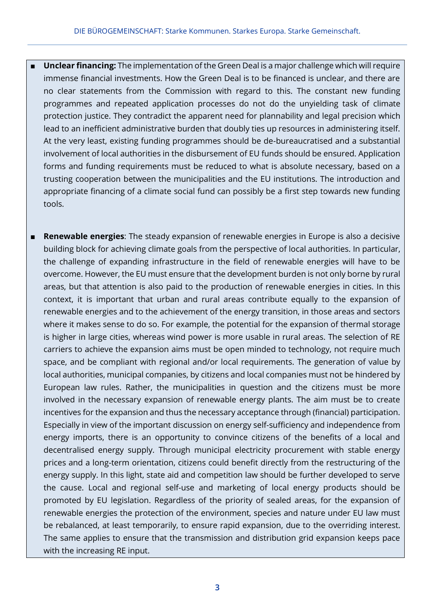- **Unclear financing:** The implementation of the Green Deal is a major challenge which will require immense financial investments. How the Green Deal is to be financed is unclear, and there are no clear statements from the Commission with regard to this. The constant new funding programmes and repeated application processes do not do the unyielding task of climate protection justice. They contradict the apparent need for plannability and legal precision which lead to an inefficient administrative burden that doubly ties up resources in administering itself. At the very least, existing funding programmes should be de-bureaucratised and a substantial involvement of local authorities in the disbursement of EU funds should be ensured. Application forms and funding requirements must be reduced to what is absolute necessary, based on a trusting cooperation between the municipalities and the EU institutions. The introduction and appropriate financing of a climate social fund can possibly be a first step towards new funding tools.
- **Renewable energies**: The steady expansion of renewable energies in Europe is also a decisive building block for achieving climate goals from the perspective of local authorities. In particular, the challenge of expanding infrastructure in the field of renewable energies will have to be overcome. However, the EU must ensure that the development burden is not only borne by rural areas, but that attention is also paid to the production of renewable energies in cities. In this context, it is important that urban and rural areas contribute equally to the expansion of renewable energies and to the achievement of the energy transition, in those areas and sectors where it makes sense to do so. For example, the potential for the expansion of thermal storage is higher in large cities, whereas wind power is more usable in rural areas. The selection of RE carriers to achieve the expansion aims must be open minded to technology, not require much space, and be compliant with regional and/or local requirements. The generation of value by local authorities, municipal companies, by citizens and local companies must not be hindered by European law rules. Rather, the municipalities in question and the citizens must be more involved in the necessary expansion of renewable energy plants. The aim must be to create incentives for the expansion and thus the necessary acceptance through (financial) participation. Especially in view of the important discussion on energy self-sufficiency and independence from energy imports, there is an opportunity to convince citizens of the benefits of a local and decentralised energy supply. Through municipal electricity procurement with stable energy prices and a long-term orientation, citizens could benefit directly from the restructuring of the energy supply. In this light, state aid and competition law should be further developed to serve the cause. Local and regional self-use and marketing of local energy products should be promoted by EU legislation. Regardless of the priority of sealed areas, for the expansion of renewable energies the protection of the environment, species and nature under EU law must be rebalanced, at least temporarily, to ensure rapid expansion, due to the overriding interest. The same applies to ensure that the transmission and distribution grid expansion keeps pace with the increasing RE input.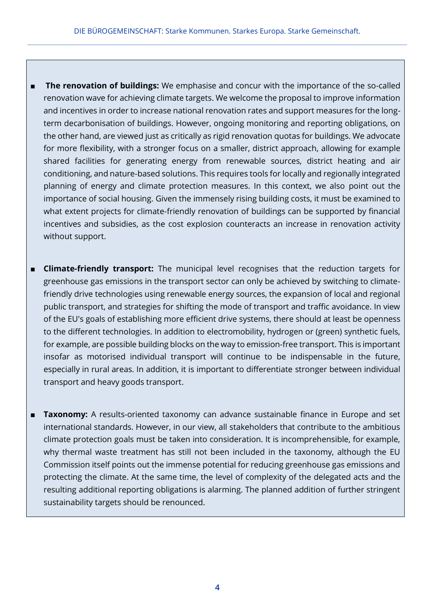- **The renovation of buildings:** We emphasise and concur with the importance of the so-called renovation wave for achieving climate targets. We welcome the proposal to improve information and incentives in order to increase national renovation rates and support measures for the longterm decarbonisation of buildings. However, ongoing monitoring and reporting obligations, on the other hand, are viewed just as critically as rigid renovation quotas for buildings. We advocate for more flexibility, with a stronger focus on a smaller, district approach, allowing for example shared facilities for generating energy from renewable sources, district heating and air conditioning, and nature-based solutions. This requires tools for locally and regionally integrated planning of energy and climate protection measures. In this context, we also point out the importance of social housing. Given the immensely rising building costs, it must be examined to what extent projects for climate-friendly renovation of buildings can be supported by financial incentives and subsidies, as the cost explosion counteracts an increase in renovation activity without support.
- **Climate-friendly transport:** The municipal level recognises that the reduction targets for greenhouse gas emissions in the transport sector can only be achieved by switching to climatefriendly drive technologies using renewable energy sources, the expansion of local and regional public transport, and strategies for shifting the mode of transport and traffic avoidance. In view of the EU's goals of establishing more efficient drive systems, there should at least be openness to the different technologies. In addition to electromobility, hydrogen or (green) synthetic fuels, for example, are possible building blocks on the way to emission-free transport. This is important insofar as motorised individual transport will continue to be indispensable in the future, especially in rural areas. In addition, it is important to differentiate stronger between individual transport and heavy goods transport.
- **Taxonomy:** A results-oriented taxonomy can advance sustainable finance in Europe and set international standards. However, in our view, all stakeholders that contribute to the ambitious climate protection goals must be taken into consideration. It is incomprehensible, for example, why thermal waste treatment has still not been included in the taxonomy, although the EU Commission itself points out the immense potential for reducing greenhouse gas emissions and protecting the climate. At the same time, the level of complexity of the delegated acts and the resulting additional reporting obligations is alarming. The planned addition of further stringent sustainability targets should be renounced.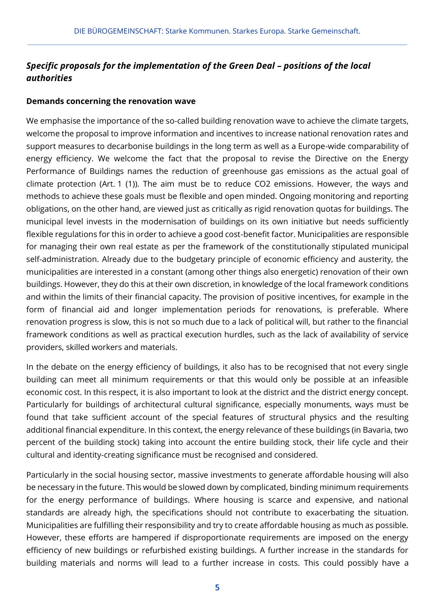### *Specific proposals for the implementation of the Green Deal – positions of the local authorities*

### **Demands concerning the renovation wave**

We emphasise the importance of the so-called building renovation wave to achieve the climate targets, welcome the proposal to improve information and incentives to increase national renovation rates and support measures to decarbonise buildings in the long term as well as a Europe-wide comparability of energy efficiency. We welcome the fact that the proposal to revise the Directive on the Energy Performance of Buildings names the reduction of greenhouse gas emissions as the actual goal of climate protection (Art. 1 (1)). The aim must be to reduce CO2 emissions. However, the ways and methods to achieve these goals must be flexible and open minded. Ongoing monitoring and reporting obligations, on the other hand, are viewed just as critically as rigid renovation quotas for buildings. The municipal level invests in the modernisation of buildings on its own initiative but needs sufficiently flexible regulations for this in order to achieve a good cost-benefit factor. Municipalities are responsible for managing their own real estate as per the framework of the constitutionally stipulated municipal self-administration. Already due to the budgetary principle of economic efficiency and austerity, the municipalities are interested in a constant (among other things also energetic) renovation of their own buildings. However, they do this at their own discretion, in knowledge of the local framework conditions and within the limits of their financial capacity. The provision of positive incentives, for example in the form of financial aid and longer implementation periods for renovations, is preferable. Where renovation progress is slow, this is not so much due to a lack of political will, but rather to the financial framework conditions as well as practical execution hurdles, such as the lack of availability of service providers, skilled workers and materials.

In the debate on the energy efficiency of buildings, it also has to be recognised that not every single building can meet all minimum requirements or that this would only be possible at an infeasible economic cost. In this respect, it is also important to look at the district and the district energy concept. Particularly for buildings of architectural cultural significance, especially monuments, ways must be found that take sufficient account of the special features of structural physics and the resulting additional financial expenditure. In this context, the energy relevance of these buildings (in Bavaria, two percent of the building stock) taking into account the entire building stock, their life cycle and their cultural and identity-creating significance must be recognised and considered.

Particularly in the social housing sector, massive investments to generate affordable housing will also be necessary in the future. This would be slowed down by complicated, binding minimum requirements for the energy performance of buildings. Where housing is scarce and expensive, and national standards are already high, the specifications should not contribute to exacerbating the situation. Municipalities are fulfilling their responsibility and try to create affordable housing as much as possible. However, these efforts are hampered if disproportionate requirements are imposed on the energy efficiency of new buildings or refurbished existing buildings. A further increase in the standards for building materials and norms will lead to a further increase in costs. This could possibly have a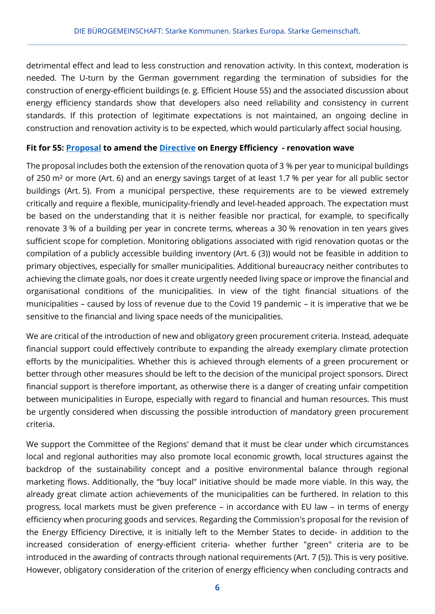detrimental effect and lead to less construction and renovation activity. In this context, moderation is needed. The U-turn by the German government regarding the termination of subsidies for the construction of energy-efficient buildings (e. g. Efficient House 55) and the associated discussion about energy efficiency standards show that developers also need reliability and consistency in current standards. If this protection of legitimate expectations is not maintained, an ongoing decline in construction and renovation activity is to be expected, which would particularly affect social housing.

### **Fit for 55: [Proposal](https://eur-lex.europa.eu/resource.html?uri=cellar:a214c850-e574-11eb-a1a5-01aa75ed71a1.0001.02/DOC_1&format=PDF) to amend the [Directive](https://eur-lex.europa.eu/legal-content/EN/TXT/PDF/?uri=CELEX:32012L0027&from=de) on Energy Efficiency - renovation wave**

The proposal includes both the extension of the renovation quota of 3 % per year to municipal buildings of 250 m² or more (Art. 6) and an energy savings target of at least 1.7 % per year for all public sector buildings (Art. 5). From a municipal perspective, these requirements are to be viewed extremely critically and require a flexible, municipality-friendly and level-headed approach. The expectation must be based on the understanding that it is neither feasible nor practical, for example, to specifically renovate 3 % of a building per year in concrete terms, whereas a 30 % renovation in ten years gives sufficient scope for completion. Monitoring obligations associated with rigid renovation quotas or the compilation of a publicly accessible building inventory (Art. 6 (3)) would not be feasible in addition to primary objectives, especially for smaller municipalities. Additional bureaucracy neither contributes to achieving the climate goals, nor does it create urgently needed living space or improve the financial and organisational conditions of the municipalities. In view of the tight financial situations of the municipalities – caused by loss of revenue due to the Covid 19 pandemic – it is imperative that we be sensitive to the financial and living space needs of the municipalities.

We are critical of the introduction of new and obligatory green procurement criteria. Instead, adequate financial support could effectively contribute to expanding the already exemplary climate protection efforts by the municipalities. Whether this is achieved through elements of a green procurement or better through other measures should be left to the decision of the municipal project sponsors. Direct financial support is therefore important, as otherwise there is a danger of creating unfair competition between municipalities in Europe, especially with regard to financial and human resources. This must be urgently considered when discussing the possible introduction of mandatory green procurement criteria.

We support the Committee of the Regions' demand that it must be clear under which circumstances local and regional authorities may also promote local economic growth, local structures against the backdrop of the sustainability concept and a positive environmental balance through regional marketing flows. Additionally, the "buy local" initiative should be made more viable. In this way, the already great climate action achievements of the municipalities can be furthered. In relation to this progress, local markets must be given preference – in accordance with EU law – in terms of energy efficiency when procuring goods and services. Regarding the Commission's proposal for the revision of the Energy Efficiency Directive, it is initially left to the Member States to decide- in addition to the increased consideration of energy-efficient criteria- whether further "green" criteria are to be introduced in the awarding of contracts through national requirements (Art. 7 (5)). This is very positive. However, obligatory consideration of the criterion of energy efficiency when concluding contracts and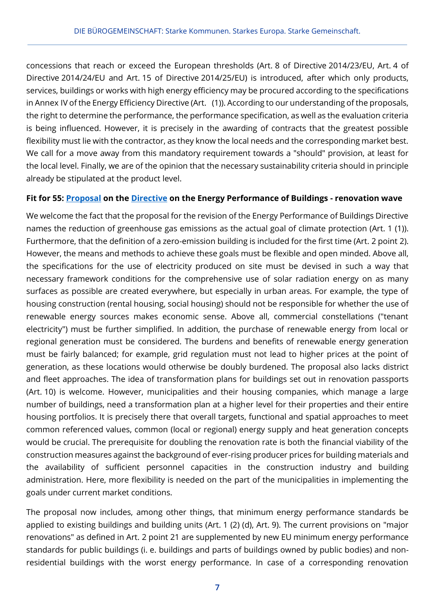concessions that reach or exceed the European thresholds (Art. 8 of Directive 2014/23/EU, Art. 4 of Directive 2014/24/EU and Art. 15 of Directive 2014/25/EU) is introduced, after which only products, services, buildings or works with high energy efficiency may be procured according to the specifications in Annex IV of the Energy Efficiency Directive (Art. (1)). According to our understanding of the proposals, the right to determine the performance, the performance specification, as well as the evaluation criteria is being influenced. However, it is precisely in the awarding of contracts that the greatest possible flexibility must lie with the contractor, as they know the local needs and the corresponding market best. We call for a move away from this mandatory requirement towards a "should" provision, at least for the local level. Finally, we are of the opinion that the necessary sustainability criteria should in principle already be stipulated at the product level.

### **Fit for 55: [Proposal](https://eur-lex.europa.eu/legal-content/EN/TXT/?uri=CELEX:52021PC0802) on the [Directive](https://eur-lex.europa.eu/legal-content/EN/TXT/PDF/?uri=CELEX:32010L0031&from=DE) on the Energy Performance of Buildings - renovation wave**

We welcome the fact that the proposal for the revision of the Energy Performance of Buildings Directive names the reduction of greenhouse gas emissions as the actual goal of climate protection (Art. 1 (1)). Furthermore, that the definition of a zero-emission building is included for the first time (Art. 2 point 2). However, the means and methods to achieve these goals must be flexible and open minded. Above all, the specifications for the use of electricity produced on site must be devised in such a way that necessary framework conditions for the comprehensive use of solar radiation energy on as many surfaces as possible are created everywhere, but especially in urban areas. For example, the type of housing construction (rental housing, social housing) should not be responsible for whether the use of renewable energy sources makes economic sense. Above all, commercial constellations ("tenant electricity") must be further simplified. In addition, the purchase of renewable energy from local or regional generation must be considered. The burdens and benefits of renewable energy generation must be fairly balanced; for example, grid regulation must not lead to higher prices at the point of generation, as these locations would otherwise be doubly burdened. The proposal also lacks district and fleet approaches. The idea of transformation plans for buildings set out in renovation passports (Art. 10) is welcome. However, municipalities and their housing companies, which manage a large number of buildings, need a transformation plan at a higher level for their properties and their entire housing portfolios. It is precisely there that overall targets, functional and spatial approaches to meet common referenced values, common (local or regional) energy supply and heat generation concepts would be crucial. The prerequisite for doubling the renovation rate is both the financial viability of the construction measures against the background of ever-rising producer prices for building materials and the availability of sufficient personnel capacities in the construction industry and building administration. Here, more flexibility is needed on the part of the municipalities in implementing the goals under current market conditions.

The proposal now includes, among other things, that minimum energy performance standards be applied to existing buildings and building units (Art. 1 (2) (d), Art. 9). The current provisions on "major renovations" as defined in Art. 2 point 21 are supplemented by new EU minimum energy performance standards for public buildings (i. e. buildings and parts of buildings owned by public bodies) and nonresidential buildings with the worst energy performance. In case of a corresponding renovation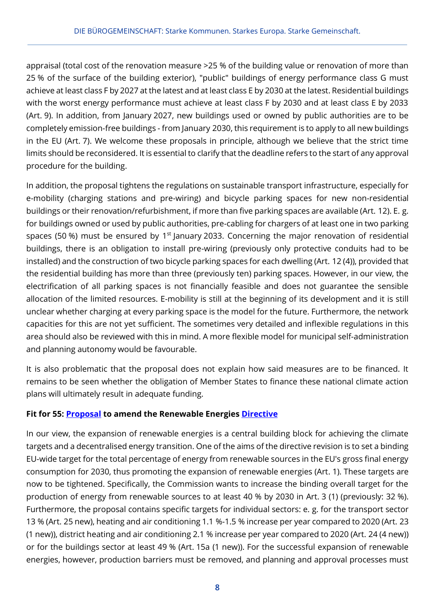appraisal (total cost of the renovation measure >25 % of the building value or renovation of more than 25 % of the surface of the building exterior), "public" buildings of energy performance class G must achieve at least class F by 2027 at the latest and at least class E by 2030 at the latest. Residential buildings with the worst energy performance must achieve at least class F by 2030 and at least class E by 2033 (Art. 9). In addition, from January 2027, new buildings used or owned by public authorities are to be completely emission-free buildings - from January 2030, this requirement is to apply to all new buildings in the EU (Art. 7). We welcome these proposals in principle, although we believe that the strict time limits should be reconsidered. It is essential to clarify that the deadline refers to the start of any approval procedure for the building.

In addition, the proposal tightens the regulations on sustainable transport infrastructure, especially for e-mobility (charging stations and pre-wiring) and bicycle parking spaces for new non-residential buildings or their renovation/refurbishment, if more than five parking spaces are available (Art. 12). E. g. for buildings owned or used by public authorities, pre-cabling for chargers of at least one in two parking spaces (50 %) must be ensured by  $1<sup>st</sup>$  January 2033. Concerning the major renovation of residential buildings, there is an obligation to install pre-wiring (previously only protective conduits had to be installed) and the construction of two bicycle parking spaces for each dwelling (Art. 12 (4)), provided that the residential building has more than three (previously ten) parking spaces. However, in our view, the electrification of all parking spaces is not financially feasible and does not guarantee the sensible allocation of the limited resources. E-mobility is still at the beginning of its development and it is still unclear whether charging at every parking space is the model for the future. Furthermore, the network capacities for this are not yet sufficient. The sometimes very detailed and inflexible regulations in this area should also be reviewed with this in mind. A more flexible model for municipal self-administration and planning autonomy would be favourable.

It is also problematic that the proposal does not explain how said measures are to be financed. It remains to be seen whether the obligation of Member States to finance these national climate action plans will ultimately result in adequate funding.

### **Fit for 55: [Proposal](https://eur-lex.europa.eu/legal-content/DE/ALL/?uri=CELEX%3A52021PC0557) to amend the Renewable Energies [Directive](https://eur-lex.europa.eu/legal-content/EN/TXT/PDF/?uri=CELEX:32018L2001&from=de)**

In our view, the expansion of renewable energies is a central building block for achieving the climate targets and a decentralised energy transition. One of the aims of the directive revision is to set a binding EU-wide target for the total percentage of energy from renewable sources in the EU's gross final energy consumption for 2030, thus promoting the expansion of renewable energies (Art. 1). These targets are now to be tightened. Specifically, the Commission wants to increase the binding overall target for the production of energy from renewable sources to at least 40 % by 2030 in Art. 3 (1) (previously: 32 %). Furthermore, the proposal contains specific targets for individual sectors: e. g. for the transport sector 13 % (Art. 25 new), heating and air conditioning 1.1 %-1.5 % increase per year compared to 2020 (Art. 23 (1 new)), district heating and air conditioning 2.1 % increase per year compared to 2020 (Art. 24 (4 new)) or for the buildings sector at least 49 % (Art. 15a (1 new)). For the successful expansion of renewable energies, however, production barriers must be removed, and planning and approval processes must